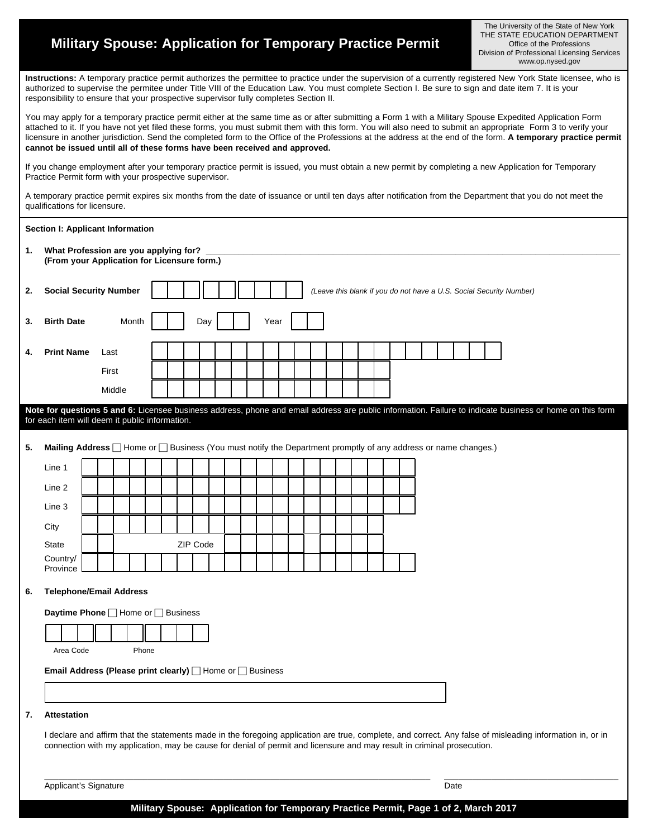## **Military Spouse: Application for Temporary Practice Permit**

The University of the State of New York THE STATE EDUCATION DEPARTMENT Office of the Professions Division of Professional Licensing Services www.op.nysed.gov

**Instructions:** A temporary practice permit authorizes the permittee to practice under the supervision of a currently registered New York State licensee, who is authorized to supervise the permitee under Title VIII of the Education Law. You must complete Section I. Be sure to sign and date item 7. It is your responsibility to ensure that your prospective supervisor fully completes Section II.

You may apply for a temporary practice permit either at the same time as or after submitting a Form 1 with a Military Spouse Expedited Application Form attached to it. If you have not yet filed these forms, you must submit them with this form. You will also need to submit an appropriate Form 3 to verify your licensure in another jurisdiction. Send the completed form to the Office of the Professions at the address at the end of the form. **A temporary practice permit cannot be issued until all of these forms have been received and approved.** 

If you change employment after your temporary practice permit is issued, you must obtain a new permit by completing a new Application for Temporary Practice Permit form with your prospective supervisor.

A temporary practice permit expires six months from the date of issuance or until ten days after notification from the Department that you do not meet the qualifications for licensure.

|    | Section I: Applicant Information                                                                                                                                                                                                                                                     |  |        |       |  |  |          |     |  |  |  |      |  |  |  |  |  |  |      |  |  |  |  |  |  |
|----|--------------------------------------------------------------------------------------------------------------------------------------------------------------------------------------------------------------------------------------------------------------------------------------|--|--------|-------|--|--|----------|-----|--|--|--|------|--|--|--|--|--|--|------|--|--|--|--|--|--|
| 1. | What Profession are you applying for?<br>(From your Application for Licensure form.)                                                                                                                                                                                                 |  |        |       |  |  |          |     |  |  |  |      |  |  |  |  |  |  |      |  |  |  |  |  |  |
| 2. | <b>Social Security Number</b><br>(Leave this blank if you do not have a U.S. Social Security Number)                                                                                                                                                                                 |  |        |       |  |  |          |     |  |  |  |      |  |  |  |  |  |  |      |  |  |  |  |  |  |
| 3. | <b>Birth Date</b>                                                                                                                                                                                                                                                                    |  |        | Month |  |  |          | Day |  |  |  | Year |  |  |  |  |  |  |      |  |  |  |  |  |  |
| 4. | <b>Print Name</b>                                                                                                                                                                                                                                                                    |  | Last   |       |  |  |          |     |  |  |  |      |  |  |  |  |  |  |      |  |  |  |  |  |  |
|    |                                                                                                                                                                                                                                                                                      |  | First  |       |  |  |          |     |  |  |  |      |  |  |  |  |  |  |      |  |  |  |  |  |  |
|    |                                                                                                                                                                                                                                                                                      |  | Middle |       |  |  |          |     |  |  |  |      |  |  |  |  |  |  |      |  |  |  |  |  |  |
|    | Note for questions 5 and 6: Licensee business address, phone and email address are public information. Failure to indicate business or home on this form                                                                                                                             |  |        |       |  |  |          |     |  |  |  |      |  |  |  |  |  |  |      |  |  |  |  |  |  |
|    | for each item will deem it public information.                                                                                                                                                                                                                                       |  |        |       |  |  |          |     |  |  |  |      |  |  |  |  |  |  |      |  |  |  |  |  |  |
| 5. | Mailing Address   Home or   Business (You must notify the Department promptly of any address or name changes.)                                                                                                                                                                       |  |        |       |  |  |          |     |  |  |  |      |  |  |  |  |  |  |      |  |  |  |  |  |  |
|    | Line 1                                                                                                                                                                                                                                                                               |  |        |       |  |  |          |     |  |  |  |      |  |  |  |  |  |  |      |  |  |  |  |  |  |
|    | Line 2                                                                                                                                                                                                                                                                               |  |        |       |  |  |          |     |  |  |  |      |  |  |  |  |  |  |      |  |  |  |  |  |  |
|    | Line 3                                                                                                                                                                                                                                                                               |  |        |       |  |  |          |     |  |  |  |      |  |  |  |  |  |  |      |  |  |  |  |  |  |
|    | City                                                                                                                                                                                                                                                                                 |  |        |       |  |  |          |     |  |  |  |      |  |  |  |  |  |  |      |  |  |  |  |  |  |
|    | State                                                                                                                                                                                                                                                                                |  |        |       |  |  | ZIP Code |     |  |  |  |      |  |  |  |  |  |  |      |  |  |  |  |  |  |
|    | Country/<br>Province                                                                                                                                                                                                                                                                 |  |        |       |  |  |          |     |  |  |  |      |  |  |  |  |  |  |      |  |  |  |  |  |  |
| 6. | <b>Telephone/Email Address</b>                                                                                                                                                                                                                                                       |  |        |       |  |  |          |     |  |  |  |      |  |  |  |  |  |  |      |  |  |  |  |  |  |
|    | <b>Daytime Phone</b> □ Home or □ Business                                                                                                                                                                                                                                            |  |        |       |  |  |          |     |  |  |  |      |  |  |  |  |  |  |      |  |  |  |  |  |  |
|    |                                                                                                                                                                                                                                                                                      |  |        |       |  |  |          |     |  |  |  |      |  |  |  |  |  |  |      |  |  |  |  |  |  |
|    | Area Code                                                                                                                                                                                                                                                                            |  |        | Phone |  |  |          |     |  |  |  |      |  |  |  |  |  |  |      |  |  |  |  |  |  |
|    | <b>Email Address (Please print clearly)</b> Home or <b>Business</b>                                                                                                                                                                                                                  |  |        |       |  |  |          |     |  |  |  |      |  |  |  |  |  |  |      |  |  |  |  |  |  |
|    |                                                                                                                                                                                                                                                                                      |  |        |       |  |  |          |     |  |  |  |      |  |  |  |  |  |  |      |  |  |  |  |  |  |
| 7. | Attestation                                                                                                                                                                                                                                                                          |  |        |       |  |  |          |     |  |  |  |      |  |  |  |  |  |  |      |  |  |  |  |  |  |
|    | I declare and affirm that the statements made in the foregoing application are true, complete, and correct. Any false of misleading information in, or in<br>connection with my application, may be cause for denial of permit and licensure and may result in criminal prosecution. |  |        |       |  |  |          |     |  |  |  |      |  |  |  |  |  |  |      |  |  |  |  |  |  |
|    | Applicant's Signature                                                                                                                                                                                                                                                                |  |        |       |  |  |          |     |  |  |  |      |  |  |  |  |  |  | Date |  |  |  |  |  |  |

**Military Spouse: Application for Temporary Practice Permit, Page 1 of 2, March 2017**